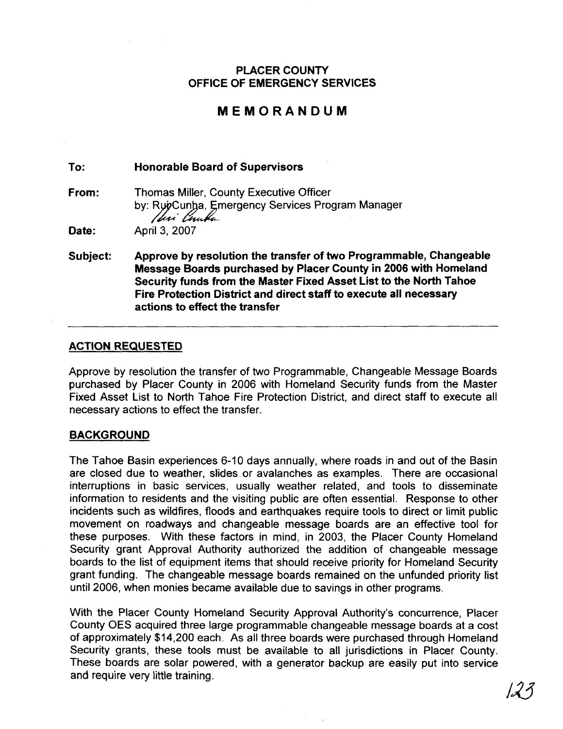### **PLACER COUNTY OFFICE OF EMERGENCY SERVICES**

## **MEMORANDUM**

**To: Honorable Board of Supervisors** 

**From:** Thomas Miller, County Executive Officer by: RuyCunha, Emergency Services Program Manager Ihri Cunka

**Date:** April 3, 2007

**Subject: Approve by resolution the transfer of two Programmable, Changeable Message Boards purchased by Placer County in 2006 with Homeland Security funds from the Master Fixed Asset List to the North Tahoe Fire Protection District and direct staff to execute all necessary actions to effect the transfer** 

#### **ACTION REQUESTED**

Approve by resolution the transfer of two Programmable, Changeable Message Boards purchased by Placer County in 2006 with Homeland Security funds from the Master Fixed Asset List to North Tahoe Fire Protection District, and direct staff to execute all necessary actions to effect the transfer.

#### **BACKGROUND**

The Tahoe Basin experiences 6-10 days annually, where roads in and out of the Basin are closed due to weather, slides or avalanches as examples. There are occasional interruptions in basic services, usually weather related, and tools to disseminate information to residents and the visiting public are often essential. Response to other incidents such as wildfires, floods and earthquakes require tools to direct or limit public movement on roadways and changeable message boards are an effective tool for these purposes. With these factors in mind, in 2003, the Placer County Homeland Security grant Approval Authority authorized the addition of changeable message boards to the list of equipment items that should receive priority for Homeland Security grant funding. The changeable message boards remained on the unfunded priority list until 2006, when monies became available due to savings in other programs.

With the Placer County Homeland Security Approval Authority's concurrence, Placer County OES acquired three large programmable changeable message boards at a cost of approximately \$14,200 each. As all three boards were purchased through Homeland Security grants, these tools must be available to all jurisdictions in Placer County. These boards are solar powered, with a generator backup are easily put into service<br>and require very little training.<br> $\sqrt{3}$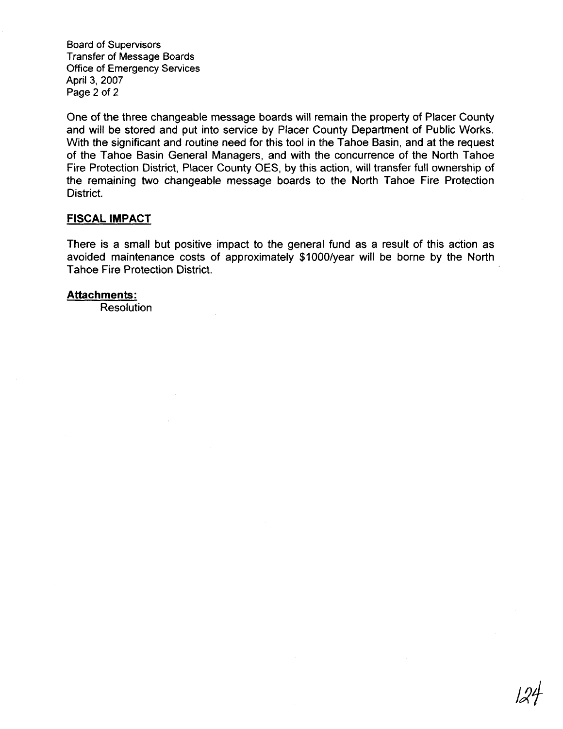Board of Supervisors Transfer of Message Boards Office of Emergency Services April 3, 2007 Page 2 of 2

One of the three changeable message boards will remain the property of Placer County and will be stored and put into service by Placer County Department of Public Works. With the significant and routine need for this tool in the Tahoe Basin, and at the request of the Tahoe Basin General Managers, and with the concurrence of the North Tahoe Fire Protection District, Placer County OES, by this action, will transfer full ownership of the remaining two changeable message boards to the North Tahoe Fire Protection District.

#### **FISCAL IMPACT**

There is a small but positive impact to the general fund as a result of this action as avoided maintenance costs of approximately \$1000/year will be borne by the North Tahoe Fire Protection District.

#### **Attachments:**

Resolution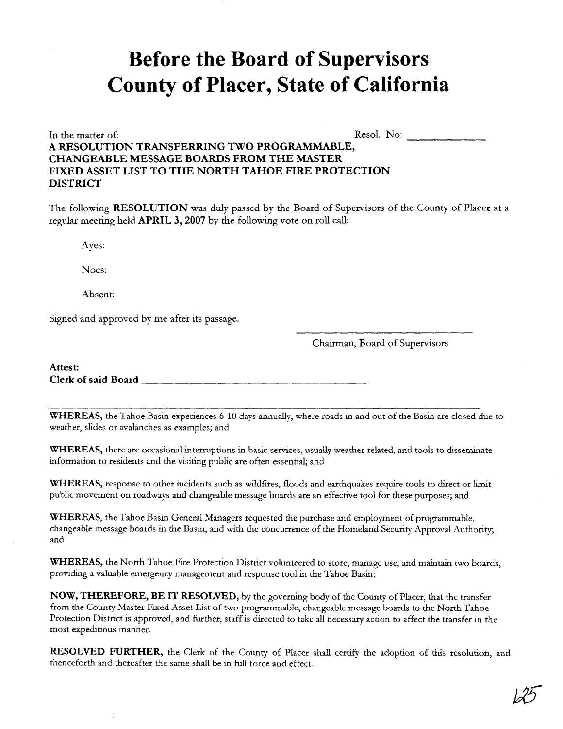# **Before the Board of Supervisors County of Placer, State of California**

In the matter of: Resol. No: Resol. No: A RESOLUTION TRANSFERRING TWO PROGRAMMABLE, **CHANGEABLE MESSAGE BOARDS FROM THE MASTER FIXED ASSET LIST TO THE NORTH TAHOE FIRE PROTECTION DISTRICT** 

The following **RESOLUTION** was duly passed by the Board of Supervisors of the County of Placer at a regular meeting held **APRIL 3,2007** by **the** following vote on roll call:

Ayes:

Noes:

Absent:

Signed and approved by me after its passage.

Chairman, Board of Supervisors

**Attest: Clerk of said Board** 

**WHEREAS,** the Tahoe Basin experiences 6-10 days annually, where roads in and out of the Basin are closed due to weather, slides or avalanches as examples; and

**WHEREAS,** there are occasional interruptions in basic services, usually weather related, and tools to disseminate information to residents and the visiting public are often essential; and

WHEREAS, response to other incidents such as wildfires, floods and earthquakes require tools to direct or limit public movement on roadways and changeable message boards are an effective tool for these purposes; and

**WHEREAS,** the Tahoe Basin General Managers requested the purchase and employment of programmable, changeable message boards in the Basin, and with the concurrence of the Homeland Security Approval Authority; and

**WHEREAS,** the North Tahoe Fire Protection District volunteered to store, manage use, and maintain two boards, providing a valuable emergency management and response tool in the Tahoe Basin;

**NOW, THEREFORE, BE IT RESOLVED,** by the governing body of the County of Placer, that the transfer from the County Master Fixed Asset List of two programmable, changeable message boards to the North Tahoe Protection District is approved, and further, staff is directed to take all necessary action to affect the transfer in the most expeditious manner.

**RESOLVED FURTHER,** the Clerk of the County of Placer shall certify the adoption of this resolution, and thenceforth and thereafter the same shall be in full force and effect.